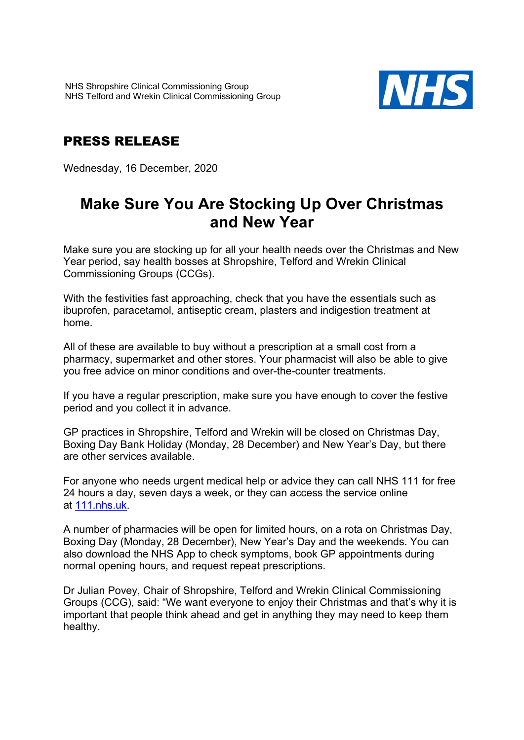

## PRESS RELEASE

Wednesday, 16 December, 2020

## **Make Sure You Are Stocking Up Over Christmas and New Year**

Make sure you are stocking up for all your health needs over the Christmas and New Year period, say health bosses at Shropshire, Telford and Wrekin Clinical Commissioning Groups (CCGs).

With the festivities fast approaching, check that you have the essentials such as ibuprofen, paracetamol, antiseptic cream, plasters and indigestion treatment at home.

All of these are available to buy without a prescription at a small cost from a pharmacy, supermarket and other stores. Your pharmacist will also be able to give you free advice on minor conditions and over-the-counter treatments.

If you have a regular prescription, make sure you have enough to cover the festive period and you collect it in advance.

GP practices in Shropshire, Telford and Wrekin will be closed on Christmas Day, Boxing Day Bank Holiday (Monday, 28 December) and New Year's Day, but there are other services available.

For anyone who needs urgent medical help or advice they can call NHS 111 for free 24 hours a day, seven days a week, or they can access the service online at 111.nhs.uk.

A number of pharmacies will be open for limited hours, on a rota on Christmas Day, Boxing Day (Monday, 28 December), New Year's Day and the weekends. You can also download the NHS App to check symptoms, book GP appointments during normal opening hours, and request repeat prescriptions.

Dr Julian Povey, Chair of Shropshire, Telford and Wrekin Clinical Commissioning Groups (CCG), said: "We want everyone to enjoy their Christmas and that's why it is important that people think ahead and get in anything they may need to keep them healthy.